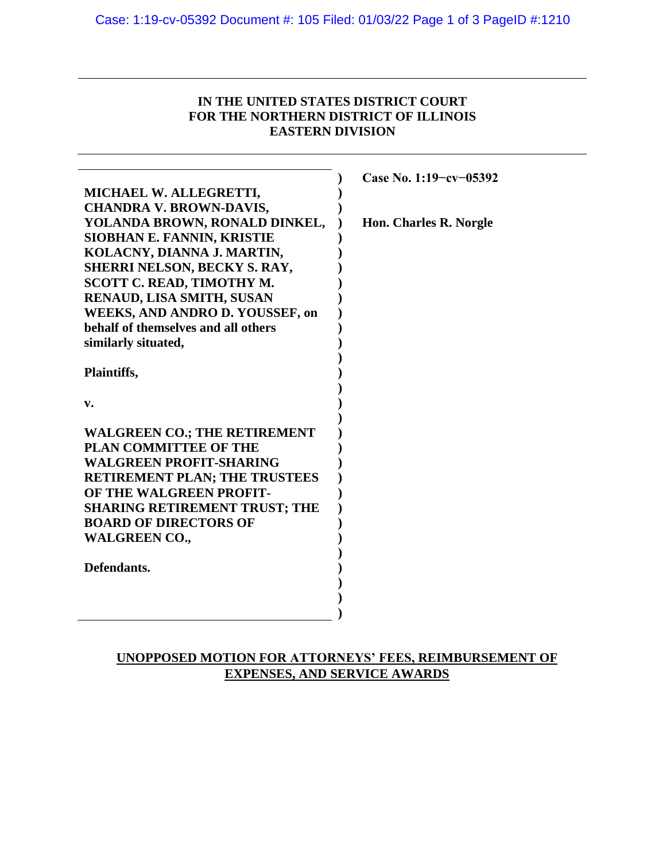## **IN THE UNITED STATES DISTRICT COURT FOR THE NORTHERN DISTRICT OF ILLINOIS EASTERN DIVISION**

|                                        | Case No. 1:19-cv-05392 |
|----------------------------------------|------------------------|
| MICHAEL W. ALLEGRETTI,                 |                        |
| <b>CHANDRA V. BROWN-DAVIS,</b>         |                        |
| YOLANDA BROWN, RONALD DINKEL,          | Hon. Charles R. Norgle |
| <b>SIOBHAN E. FANNIN, KRISTIE</b>      |                        |
| KOLACNY, DIANNA J. MARTIN,             |                        |
| <b>SHERRI NELSON, BECKY S. RAY,</b>    |                        |
| <b>SCOTT C. READ, TIMOTHY M.</b>       |                        |
| RENAUD, LISA SMITH, SUSAN              |                        |
| <b>WEEKS, AND ANDRO D. YOUSSEF, on</b> |                        |
| behalf of themselves and all others    |                        |
| similarly situated,                    |                        |
|                                        |                        |
| Plaintiffs,                            |                        |
|                                        |                        |
| $\mathbf{v}$ .                         |                        |
|                                        |                        |
| <b>WALGREEN CO.; THE RETIREMENT</b>    |                        |
| <b>PLAN COMMITTEE OF THE</b>           |                        |
| <b>WALGREEN PROFIT-SHARING</b>         |                        |
| <b>RETIREMENT PLAN; THE TRUSTEES</b>   |                        |
| OF THE WALGREEN PROFIT-                |                        |
| <b>SHARING RETIREMENT TRUST; THE</b>   |                        |
| <b>BOARD OF DIRECTORS OF</b>           |                        |
| <b>WALGREEN CO.,</b>                   |                        |
|                                        |                        |
| Defendants.                            |                        |
|                                        |                        |
|                                        |                        |
|                                        |                        |

## **UNOPPOSED MOTION FOR ATTORNEYS' FEES, REIMBURSEMENT OF EXPENSES, AND SERVICE AWARDS**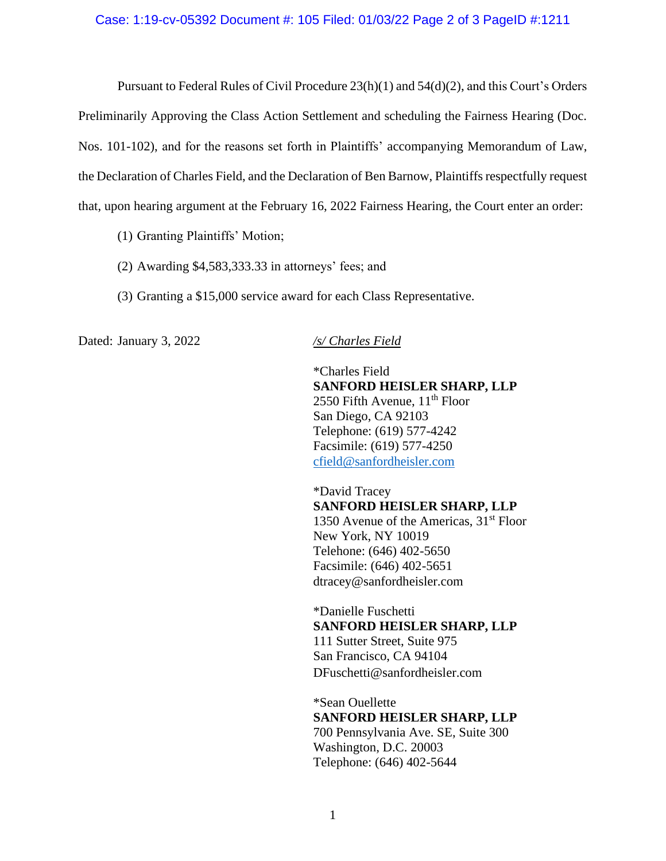Pursuant to Federal Rules of Civil Procedure 23(h)(1) and 54(d)(2), and this Court's Orders Preliminarily Approving the Class Action Settlement and scheduling the Fairness Hearing (Doc. Nos. 101-102), and for the reasons set forth in Plaintiffs' accompanying Memorandum of Law, the Declaration of Charles Field, and the Declaration of Ben Barnow, Plaintiffs respectfully request that, upon hearing argument at the February 16, 2022 Fairness Hearing, the Court enter an order:

- (1) Granting Plaintiffs' Motion;
- (2) Awarding \$4,583,333.33 in attorneys' fees; and
- (3) Granting a \$15,000 service award for each Class Representative.

Dated: January 3, 2022 */s/ Charles Field*

\*Charles Field **SANFORD HEISLER SHARP, LLP** 2550 Fifth Avenue,  $11<sup>th</sup>$  Floor San Diego, CA 92103 Telephone: (619) 577-4242 Facsimile: (619) 577-4250 cfield@sanfordheisler.com

\*David Tracey **SANFORD HEISLER SHARP, LLP** 1350 Avenue of the Americas,  $31<sup>st</sup>$  Floor New York, NY 10019 Telehone: (646) 402-5650 Facsimile: (646) 402-5651 dtracey@sanfordheisler.com

\*Danielle Fuschetti **SANFORD HEISLER SHARP, LLP** 111 Sutter Street, Suite 975 San Francisco, CA 94104 DFuschetti@sanfordheisler.com

\*Sean Ouellette **SANFORD HEISLER SHARP, LLP** 700 Pennsylvania Ave. SE, Suite 300 Washington, D.C. 20003 Telephone: (646) 402-5644